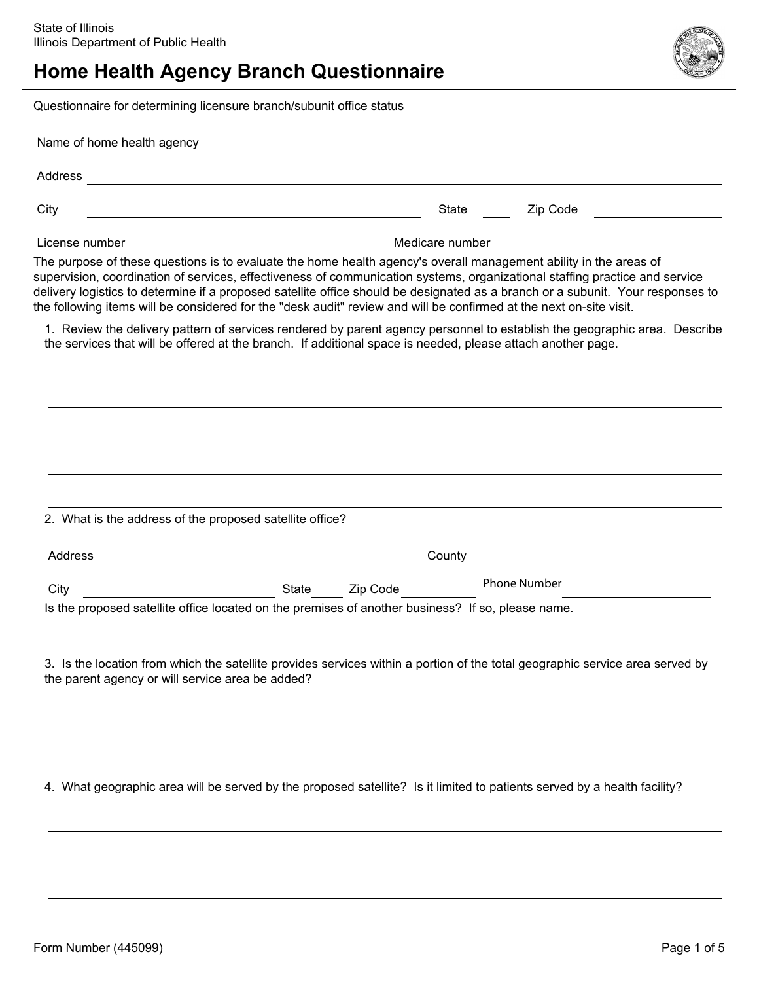

Questionnaire for determining licensure branch/subunit office status

|                                                                                                                                                                                                                                          |                                                            | <u> 1980 - Johann Stein, mars an deutscher Stein († 1980)</u>                                                          |                                                                                                                                                                                                                                                                |
|------------------------------------------------------------------------------------------------------------------------------------------------------------------------------------------------------------------------------------------|------------------------------------------------------------|------------------------------------------------------------------------------------------------------------------------|----------------------------------------------------------------------------------------------------------------------------------------------------------------------------------------------------------------------------------------------------------------|
| Address                                                                                                                                                                                                                                  |                                                            | <u> 1989 - Johann Stoff, deutscher Stoffen und der Stoffen und der Stoffen und der Stoffen und der Stoffen und der</u> |                                                                                                                                                                                                                                                                |
| City                                                                                                                                                                                                                                     | <u> 1989 - Johann Barn, amerikansk politiker (d. 1989)</u> | State                                                                                                                  | Zip Code                                                                                                                                                                                                                                                       |
|                                                                                                                                                                                                                                          |                                                            | Medicare number                                                                                                        |                                                                                                                                                                                                                                                                |
| The purpose of these questions is to evaluate the home health agency's overall management ability in the areas of<br>the following items will be considered for the "desk audit" review and will be confirmed at the next on-site visit. |                                                            |                                                                                                                        | supervision, coordination of services, effectiveness of communication systems, organizational staffing practice and service<br>delivery logistics to determine if a proposed satellite office should be designated as a branch or a subunit. Your responses to |
| the services that will be offered at the branch. If additional space is needed, please attach another page.                                                                                                                              |                                                            |                                                                                                                        | 1. Review the delivery pattern of services rendered by parent agency personnel to establish the geographic area. Describe                                                                                                                                      |
|                                                                                                                                                                                                                                          |                                                            |                                                                                                                        |                                                                                                                                                                                                                                                                |
|                                                                                                                                                                                                                                          |                                                            |                                                                                                                        |                                                                                                                                                                                                                                                                |
|                                                                                                                                                                                                                                          |                                                            |                                                                                                                        |                                                                                                                                                                                                                                                                |
|                                                                                                                                                                                                                                          |                                                            |                                                                                                                        |                                                                                                                                                                                                                                                                |
|                                                                                                                                                                                                                                          |                                                            |                                                                                                                        |                                                                                                                                                                                                                                                                |
| 2. What is the address of the proposed satellite office?                                                                                                                                                                                 |                                                            |                                                                                                                        |                                                                                                                                                                                                                                                                |
| Address                                                                                                                                                                                                                                  | <u> 1980 - Johann Barbara, martxa alemaniar a</u>          | County                                                                                                                 |                                                                                                                                                                                                                                                                |
| <u> 1990 - Johann Barbara, martin d</u><br>City                                                                                                                                                                                          |                                                            | State Zip Code                                                                                                         | Phone Number                                                                                                                                                                                                                                                   |
| Is the proposed satellite office located on the premises of another business? If so, please name.                                                                                                                                        |                                                            |                                                                                                                        |                                                                                                                                                                                                                                                                |
| the parent agency or will service area be added?                                                                                                                                                                                         |                                                            |                                                                                                                        | 3. Is the location from which the satellite provides services within a portion of the total geographic service area served by                                                                                                                                  |
|                                                                                                                                                                                                                                          |                                                            |                                                                                                                        |                                                                                                                                                                                                                                                                |
|                                                                                                                                                                                                                                          |                                                            |                                                                                                                        |                                                                                                                                                                                                                                                                |
|                                                                                                                                                                                                                                          |                                                            |                                                                                                                        | 4. What geographic area will be served by the proposed satellite? Is it limited to patients served by a health facility?                                                                                                                                       |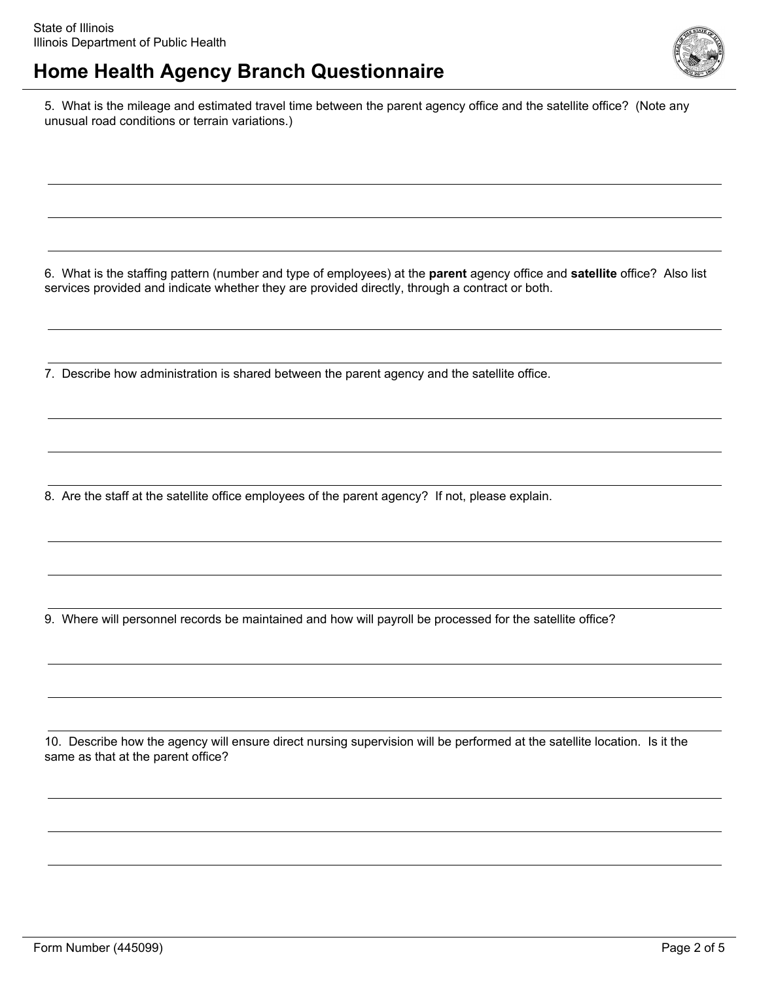

5. What is the mileage and estimated travel time between the parent agency office and the satellite office? (Note any unusual road conditions or terrain variations.)

6. What is the staffing pattern (number and type of employees) at the **parent** agency office and **satellite** office? Also list services provided and indicate whether they are provided directly, through a contract or both.

7. Describe how administration is shared between the parent agency and the satellite office.

8. Are the staff at the satellite office employees of the parent agency? If not, please explain.

9. Where will personnel records be maintained and how will payroll be processed for the satellite office?

10. Describe how the agency will ensure direct nursing supervision will be performed at the satellite location. Is it the same as that at the parent office?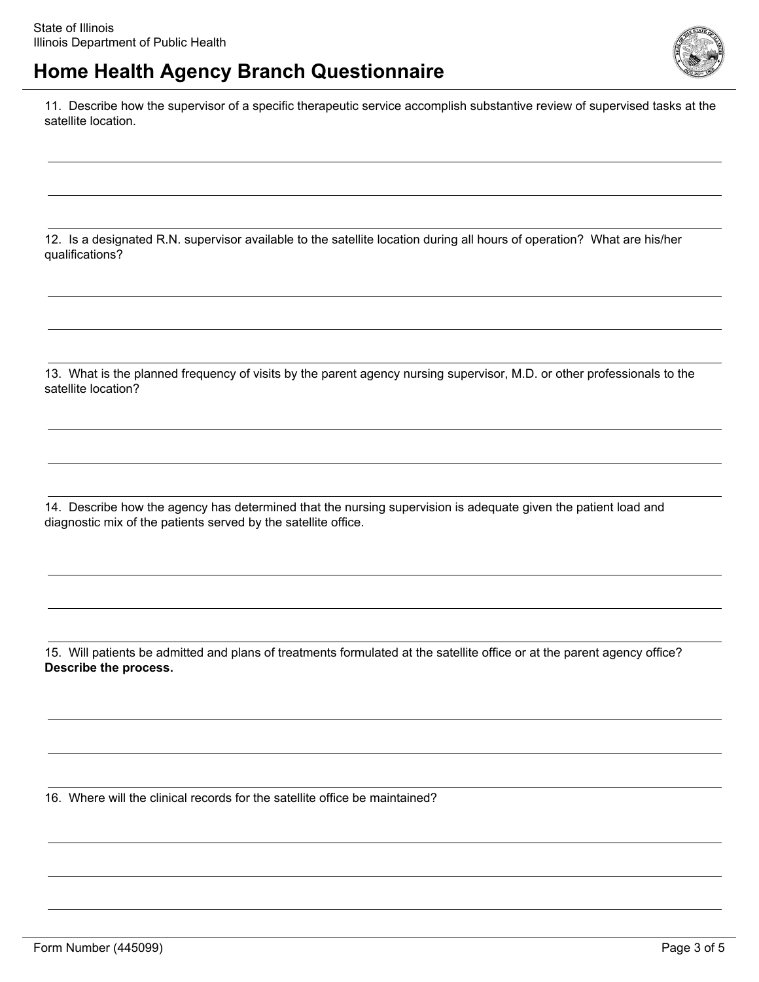

11. Describe how the supervisor of a specific therapeutic service accomplish substantive review of supervised tasks at the satellite location.

12. Is a designated R.N. supervisor available to the satellite location during all hours of operation? What are his/her qualifications?

13. What is the planned frequency of visits by the parent agency nursing supervisor, M.D. or other professionals to the satellite location?

14. Describe how the agency has determined that the nursing supervision is adequate given the patient load and diagnostic mix of the patients served by the satellite office.

15. Will patients be admitted and plans of treatments formulated at the satellite office or at the parent agency office? **Describe the process.**

16. Where will the clinical records for the satellite office be maintained?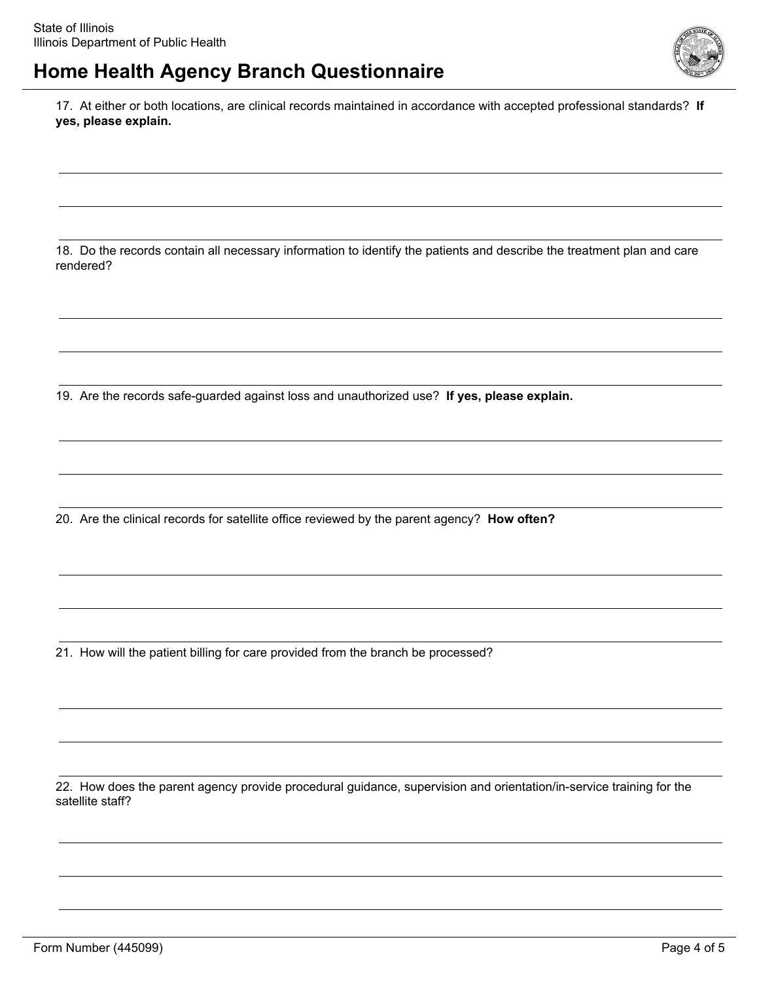

17. At either or both locations, are clinical records maintained in accordance with accepted professional standards? **If yes, please explain.**

18. Do the records contain all necessary information to identify the patients and describe the treatment plan and care rendered?

19. Are the records safe-guarded against loss and unauthorized use? **If yes, please explain.**

20. Are the clinical records for satellite office reviewed by the parent agency? **How often?**

21. How will the patient billing for care provided from the branch be processed?

22. How does the parent agency provide procedural guidance, supervision and orientation/in-service training for the satellite staff?